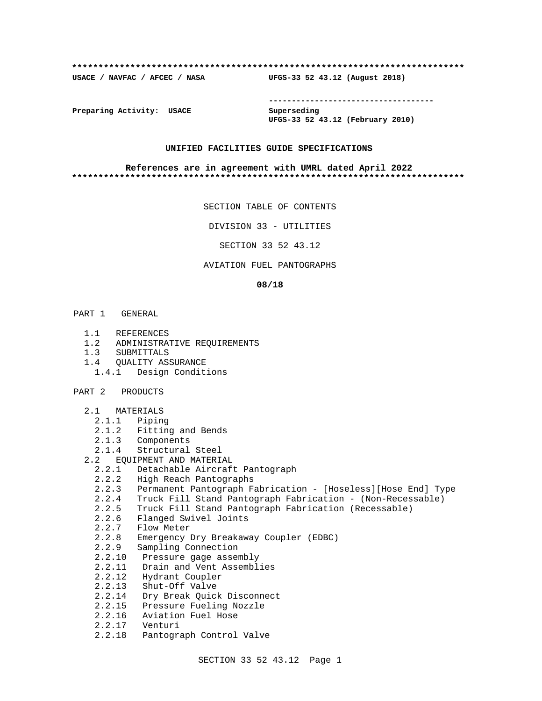#### **\*\*\*\*\*\*\*\*\*\*\*\*\*\*\*\*\*\*\*\*\*\*\*\*\*\*\*\*\*\*\*\*\*\*\*\*\*\*\*\*\*\*\*\*\*\*\*\*\*\*\*\*\*\*\*\*\*\*\*\*\*\*\*\*\*\*\*\*\*\*\*\*\*\***

**USACE / NAVFAC / AFCEC / NASA UFGS-33 52 43.12 (August 2018)**

**------------------------------------**

**Preparing Activity: USACE Superseding**

**UFGS-33 52 43.12 (February 2010)**

## **UNIFIED FACILITIES GUIDE SPECIFICATIONS**

#### **References are in agreement with UMRL dated April 2022 \*\*\*\*\*\*\*\*\*\*\*\*\*\*\*\*\*\*\*\*\*\*\*\*\*\*\*\*\*\*\*\*\*\*\*\*\*\*\*\*\*\*\*\*\*\*\*\*\*\*\*\*\*\*\*\*\*\*\*\*\*\*\*\*\*\*\*\*\*\*\*\*\*\***

SECTION TABLE OF CONTENTS

DIVISION 33 - UTILITIES

SECTION 33 52 43.12

## AVIATION FUEL PANTOGRAPHS

#### **08/18**

- PART 1 GENERAL
	- 1.1 REFERENCES
	- 1.2 ADMINISTRATIVE REQUIREMENTS
	- 1.3 SUBMITTALS
	- 1.4 QUALITY ASSURANCE
		- 1.4.1 Design Conditions
- PART 2 PRODUCTS
	- 2.1 MATERIALS
		- 2.1.1 Piping
		- 2.1.2 Fitting and Bends
		- 2.1.3 Components
		- 2.1.4 Structural Steel
	- 2.2 EQUIPMENT AND MATERIAL
		- 2.2.1 Detachable Aircraft Pantograph
		- 2.2.2 High Reach Pantographs
		- 2.2.3 Permanent Pantograph Fabrication [Hoseless][Hose End] Type
- 2.2.4 Truck Fill Stand Pantograph Fabrication (Non-Recessable)
- 2.2.5 Truck Fill Stand Pantograph Fabrication (Recessable)
	- 2.2.6 Flanged Swivel Joints
- 2.2.7 Flow Meter
- 2.2.8 Emergency Dry Breakaway Coupler (EDBC)
	- 2.2.9 Sampling Connection
	- 2.2.10 Pressure gage assembly
	- 2.2.11 Drain and Vent Assemblies
	- 2.2.12 Hydrant Coupler
	- 2.2.13 Shut-Off Valve
	- 2.2.14 Dry Break Quick Disconnect
	- 2.2.15 Pressure Fueling Nozzle
	- 2.2.16 Aviation Fuel Hose
	- 2.2.17 Venturi
	- 2.2.18 Pantograph Control Valve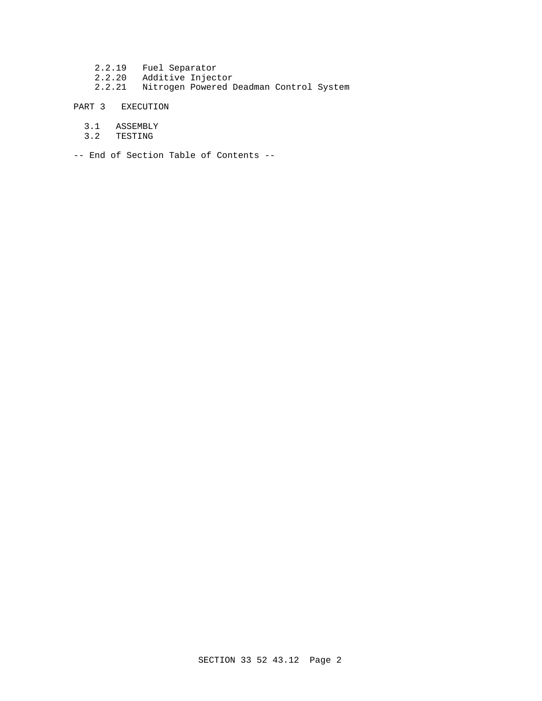2.2.19 Fuel Separator 2.2.20 Additive Injector 2.2.21 Nitrogen Powered Deadman Control System

PART 3 EXECUTION

- 3.1 ASSEMBLY
- 3.2 TESTING

-- End of Section Table of Contents --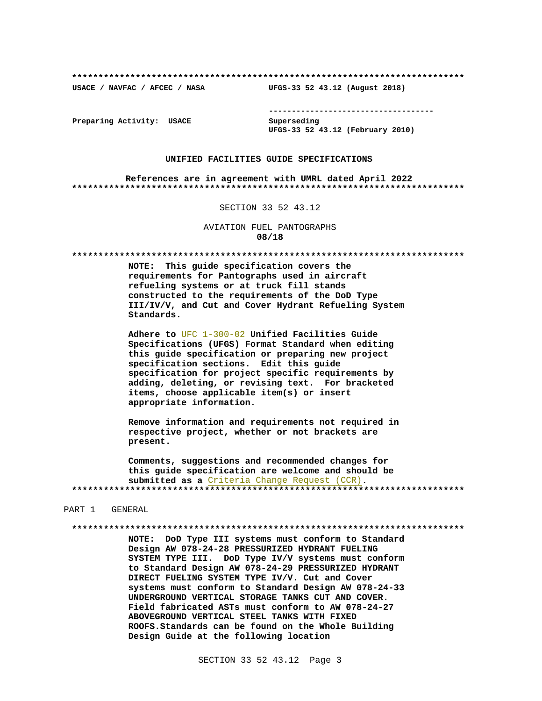USACE / NAVFAC / AFCEC / NASA

--------------------------------------

Preparing Activity: USACE

Superseding UFGS-33 52 43.12 (February 2010)

UFGS-33 52 43.12 (August 2018)

#### UNIFIED FACILITIES GUIDE SPECIFICATIONS

References are in agreement with UMRL dated April 2022 

#### SECTION 33 52 43.12

AVIATION FUEL PANTOGRAPHS 08/18

NOTE: This guide specification covers the requirements for Pantographs used in aircraft refueling systems or at truck fill stands constructed to the requirements of the DoD Type III/IV/V, and Cut and Cover Hydrant Refueling System Standards.

Adhere to UFC 1-300-02 Unified Facilities Guide Specifications (UFGS) Format Standard when editing this guide specification or preparing new project specification sections. Edit this guide specification for project specific requirements by adding, deleting, or revising text. For bracketed items, choose applicable item(s) or insert appropriate information.

Remove information and requirements not required in respective project, whether or not brackets are present.

Comments, suggestions and recommended changes for this guide specification are welcome and should be submitted as a Criteria Change Request (CCR). 

#### PART 1 GENERAL

NOTE: DoD Type III systems must conform to Standard Design AW 078-24-28 PRESSURIZED HYDRANT FUELING SYSTEM TYPE III. DoD Type IV/V systems must conform to Standard Design AW 078-24-29 PRESSURIZED HYDRANT DIRECT FUELING SYSTEM TYPE IV/V. Cut and Cover systems must conform to Standard Design AW 078-24-33 UNDERGROUND VERTICAL STORAGE TANKS CUT AND COVER. Field fabricated ASTs must conform to AW 078-24-27 ABOVEGROUND VERTICAL STEEL TANKS WITH FIXED ROOFS. Standards can be found on the Whole Building Design Guide at the following location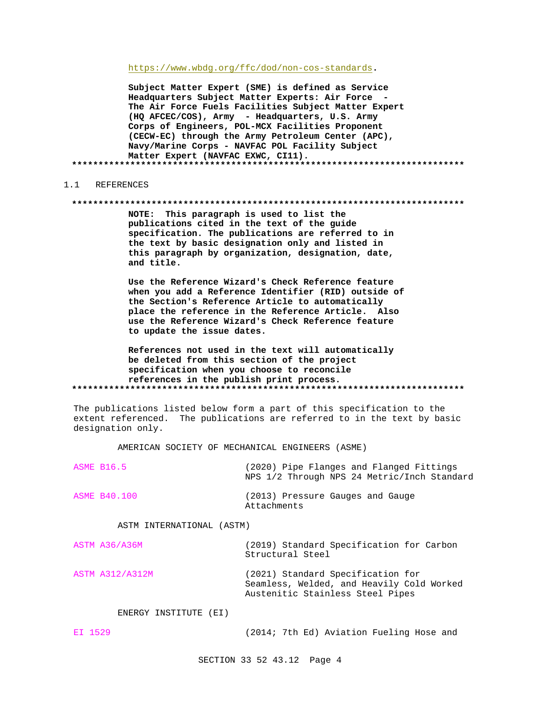https://www.wbdg.org/ffc/dod/non-cos-standards.

Subject Matter Expert (SME) is defined as Service Headquarters Subject Matter Experts: Air Force -The Air Force Fuels Facilities Subject Matter Expert (HQ AFCEC/COS), Army - Headquarters, U.S. Army Corps of Engineers, POL-MCX Facilities Proponent (CECW-EC) through the Army Petroleum Center (APC), Navy/Marine Corps - NAVFAC POL Facility Subject Matter Expert (NAVFAC EXWC, CI11). 

#### REFERENCES  $1 \quad 1$

#### 

NOTE: This paragraph is used to list the publications cited in the text of the guide specification. The publications are referred to in the text by basic designation only and listed in this paragraph by organization, designation, date, and title.

Use the Reference Wizard's Check Reference feature when you add a Reference Identifier (RID) outside of the Section's Reference Article to automatically place the reference in the Reference Article. Also use the Reference Wizard's Check Reference feature to update the issue dates.

References not used in the text will automatically be deleted from this section of the project specification when you choose to reconcile references in the publish print process. 

The publications listed below form a part of this specification to the extent referenced. The publications are referred to in the text by basic designation only.

AMERICAN SOCIETY OF MECHANICAL ENGINEERS (ASME)

| ASME B16.5   | (2020) Pipe Flanges and Flanged Fittings<br>NPS 1/2 Through NPS 24 Metric/Inch Standard |
|--------------|-----------------------------------------------------------------------------------------|
| ASME B40.100 | (2013) Pressure Gauges and Gauge<br>Attachments                                         |

ASTM INTERNATIONAL (ASTM)

| ASTM A36/A36M   | (2019) Standard Specification for Carbon<br>Structural Steel                   |  |
|-----------------|--------------------------------------------------------------------------------|--|
| ASTM A312/A312M | (2021) Standard Specification for<br>Seamless, Welded, and Heavily Cold Worked |  |

Austenitic Stainless Steel Pipes

ENERGY INSTITUTE (EI)

EI 1529 (2014; 7th Ed) Aviation Fueling Hose and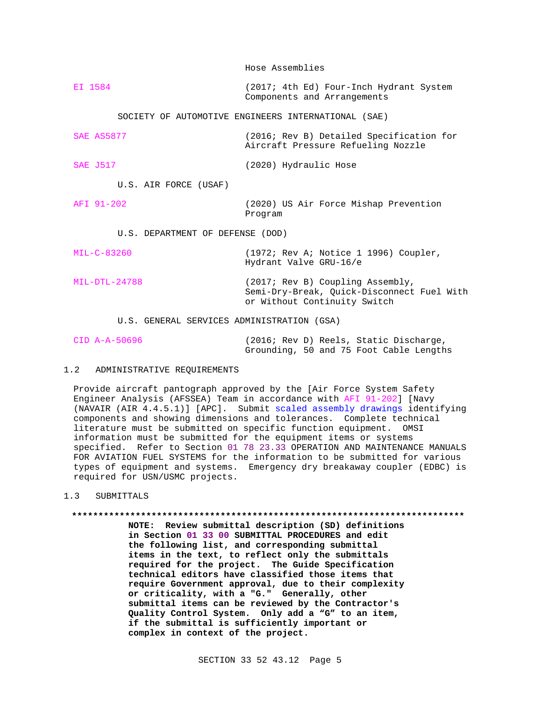Hose Assemblies

EI 1584 (2017; 4th Ed) Four-Inch Hydrant System Components and Arrangements

SOCIETY OF AUTOMOTIVE ENGINEERS INTERNATIONAL (SAE)

SAE AS5877 (2016; Rev B) Detailed Specification for Aircraft Pressure Refueling Nozzle SAE J517 (2020) Hydraulic Hose

U.S. AIR FORCE (USAF)

AFI 91-202 (2020) US Air Force Mishap Prevention Program

U.S. DEPARTMENT OF DEFENSE (DOD)

MIL-C-83260 (1972; Rev A; Notice 1 1996) Coupler, Hydrant Valve GRU-16/e MIL-DTL-24788 (2017; Rev B) Coupling Assembly, Semi-Dry-Break, Quick-Disconnect Fuel With or Without Continuity Switch

U.S. GENERAL SERVICES ADMINISTRATION (GSA)

| CID A-A-50696 |                                         |  |  | (2016; Rev D) Reels, Static Discharge, |  |  |
|---------------|-----------------------------------------|--|--|----------------------------------------|--|--|
|               | Grounding, 50 and 75 Foot Cable Lengths |  |  |                                        |  |  |

# 1.2 ADMINISTRATIVE REQUIREMENTS

Provide aircraft pantograph approved by the [Air Force System Safety Engineer Analysis (AFSSEA) Team in accordance with AFI 91-202] [Navy (NAVAIR (AIR 4.4.5.1)] [APC]. Submit scaled assembly drawings identifying components and showing dimensions and tolerances. Complete technical literature must be submitted on specific function equipment. OMSI information must be submitted for the equipment items or systems specified. Refer to Section 01 78 23.33 OPERATION AND MAINTENANCE MANUALS FOR AVIATION FUEL SYSTEMS for the information to be submitted for various types of equipment and systems. Emergency dry breakaway coupler (EDBC) is required for USN/USMC projects.

1.3 SUBMITTALS

**\*\*\*\*\*\*\*\*\*\*\*\*\*\*\*\*\*\*\*\*\*\*\*\*\*\*\*\*\*\*\*\*\*\*\*\*\*\*\*\*\*\*\*\*\*\*\*\*\*\*\*\*\*\*\*\*\*\*\*\*\*\*\*\*\*\*\*\*\*\*\*\*\*\* NOTE: Review submittal description (SD) definitions**

**in Section 01 33 00 SUBMITTAL PROCEDURES and edit the following list, and corresponding submittal items in the text, to reflect only the submittals required for the project. The Guide Specification technical editors have classified those items that require Government approval, due to their complexity or criticality, with a "G." Generally, other submittal items can be reviewed by the Contractor's Quality Control System. Only add a "G" to an item, if the submittal is sufficiently important or complex in context of the project.**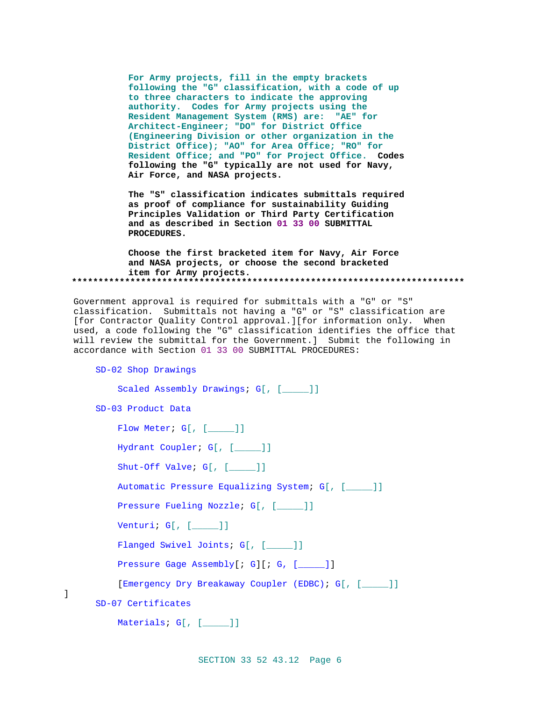**For Army projects, fill in the empty brackets following the "G" classification, with a code of up to three characters to indicate the approving authority. Codes for Army projects using the Resident Management System (RMS) are: "AE" for Architect-Engineer; "DO" for District Office (Engineering Division or other organization in the District Office); "AO" for Area Office; "RO" for Resident Office; and "PO" for Project Office. Codes following the "G" typically are not used for Navy, Air Force, and NASA projects.**

**The "S" classification indicates submittals required as proof of compliance for sustainability Guiding Principles Validation or Third Party Certification and as described in Section 01 33 00 SUBMITTAL PROCEDURES.**

**Choose the first bracketed item for Navy, Air Force and NASA projects, or choose the second bracketed item for Army projects. \*\*\*\*\*\*\*\*\*\*\*\*\*\*\*\*\*\*\*\*\*\*\*\*\*\*\*\*\*\*\*\*\*\*\*\*\*\*\*\*\*\*\*\*\*\*\*\*\*\*\*\*\*\*\*\*\*\*\*\*\*\*\*\*\*\*\*\*\*\*\*\*\*\***

Government approval is required for submittals with a "G" or "S" classification. Submittals not having a "G" or "S" classification are [for Contractor Quality Control approval.][for information only. When used, a code following the "G" classification identifies the office that will review the submittal for the Government.] Submit the following in accordance with Section 01 33 00 SUBMITTAL PROCEDURES:

SD-02 Shop Drawings

]

```
Scaled Assembly Drawings; G[, [____]]
SD-03 Product Data
    Flow Meter; G[, [____]]
    Hydrant Coupler; G[, [_____]]
    Shut-Off Valve; G[, [_____]]
    Automatic Pressure Equalizing System; G[, [_____]]
    Pressure Fueling Nozzle; G[, [____]]
    Venturi; G[, [_____]]
    Flanged Swivel Joints; G[, [____]]
    Pressure Gage Assembly[; G][; G, [____]]
    [Emergency Dry Breakaway Coupler (EDBC); G[, [_____]]
SD-07 Certificates
    Materials; G[, [_____]]
```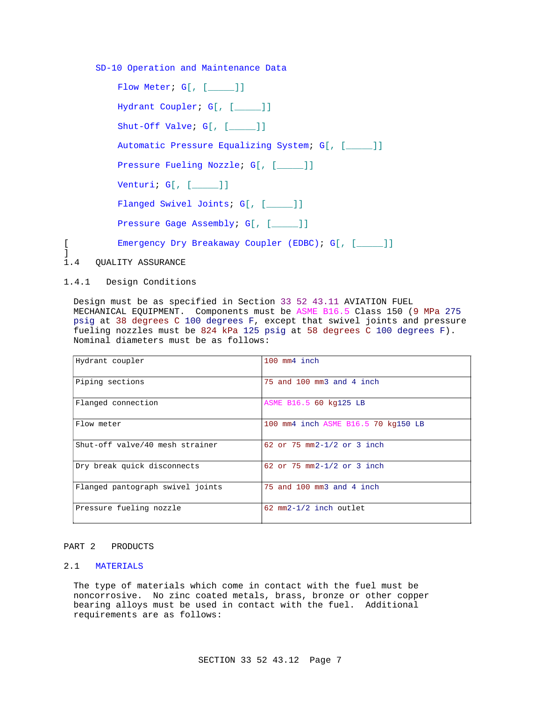SD-10 Operation and Maintenance Data

| Flow Meter; G[, [ ]]                             |
|--------------------------------------------------|
| Hydrant Coupler; G[, [ ]]                        |
| $Shut$ -Off Valve; $GI$ , $[$ $]$                |
| Automatic Pressure Equalizing System; G[, [ ]]   |
| Pressure Fueling Nozzle; G[, [ ]]                |
| Venturi; $G[$ , $[$ $]$                          |
| Flanged Swivel Joints; G[, [ ]]                  |
| Pressure Gage Assembly; G[, [ ]]                 |
| Emergency Dry Breakaway Coupler (EDBC); G[, [ ]] |
| 1.4 QUALITY ASSURANCE                            |

1.4.1 Design Conditions

] 1.4

> Design must be as specified in Section 33 52 43.11 AVIATION FUEL MECHANICAL EQUIPMENT. Components must be ASME B16.5 Class 150 (9 MPa 275 psig at 38 degrees C 100 degrees F, except that swivel joints and pressure fueling nozzles must be 824 kPa 125 psig at 58 degrees C 100 degrees F). Nominal diameters must be as follows:

| Hydrant coupler                  | 100 mm4 inch                        |
|----------------------------------|-------------------------------------|
|                                  |                                     |
|                                  |                                     |
| Piping sections                  | 75 and 100 mm3 and 4 inch           |
|                                  |                                     |
|                                  |                                     |
| Flanged connection               | ASME B16.5 60 kg125 LB              |
|                                  |                                     |
|                                  |                                     |
| Flow meter                       | 100 mm4 inch ASME B16.5 70 kg150 LB |
|                                  |                                     |
|                                  |                                     |
| Shut-off valve/40 mesh strainer  | 62 or 75 $mm2-1/2$ or 3 inch        |
|                                  |                                     |
|                                  |                                     |
| Dry break quick disconnects      | 62 or 75 mm2-1/2 or 3 inch          |
|                                  |                                     |
|                                  |                                     |
|                                  | 75 and 100 mm3 and 4 inch           |
| Flanged pantograph swivel joints |                                     |
|                                  |                                     |
|                                  |                                     |
| Pressure fueling nozzle          | 62 mm2-1/2 inch outlet              |
|                                  |                                     |
|                                  |                                     |

# PART 2 PRODUCTS

# 2.1 MATERIALS

The type of materials which come in contact with the fuel must be noncorrosive. No zinc coated metals, brass, bronze or other copper bearing alloys must be used in contact with the fuel. Additional requirements are as follows: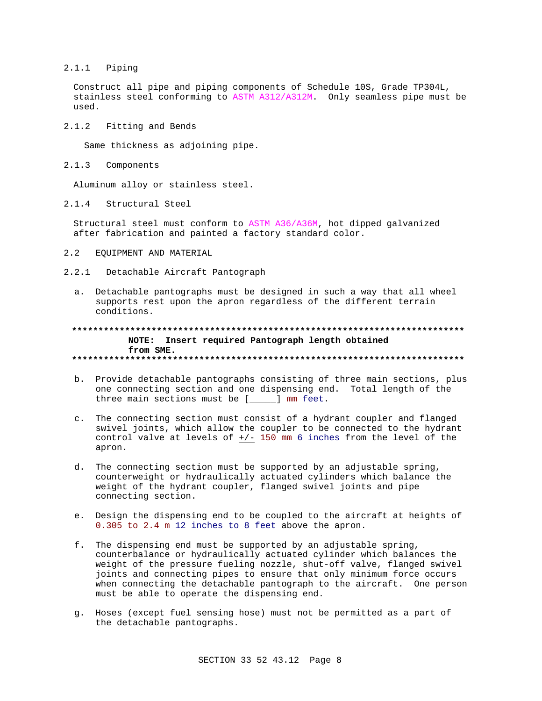# $2.1.1$  Piping

Construct all pipe and piping components of Schedule 10S, Grade TP304L, stainless steel conforming to ASTM A312/A312M. Only seamless pipe must be  $used.$ 

 $2.1.2$ Fitting and Bends

Same thickness as adjoining pipe.

 $2.1.3$ Components

Aluminum alloy or stainless steel.

 $2.1.4$ Structural Steel

Structural steel must conform to ASTM A36/A36M, hot dipped galvanized after fabrication and painted a factory standard color.

- $2.2$ EQUIPMENT AND MATERIAL
- 2.2.1 Detachable Aircraft Pantograph
	- a. Detachable pantographs must be designed in such a way that all wheel supports rest upon the apron regardless of the different terrain conditions.

## NOTE: Insert required Pantograph length obtained from SME.

- b. Provide detachable pantographs consisting of three main sections, plus one connecting section and one dispensing end. Total length of the three main sections must be [\_\_\_\_] mm feet.
- c. The connecting section must consist of a hydrant coupler and flanged swivel joints, which allow the coupler to be connected to the hydrant control valve at levels of +/- 150 mm 6 inches from the level of the apron.
- d. The connecting section must be supported by an adjustable spring, counterweight or hydraulically actuated cylinders which balance the weight of the hydrant coupler, flanged swivel joints and pipe connecting section.
- e. Design the dispensing end to be coupled to the aircraft at heights of 0.305 to 2.4 m 12 inches to 8 feet above the apron.
- f. The dispensing end must be supported by an adjustable spring, counterbalance or hydraulically actuated cylinder which balances the weight of the pressure fueling nozzle, shut-off valve, flanged swivel joints and connecting pipes to ensure that only minimum force occurs when connecting the detachable pantograph to the aircraft. One person must be able to operate the dispensing end.
- g. Hoses (except fuel sensing hose) must not be permitted as a part of the detachable pantographs.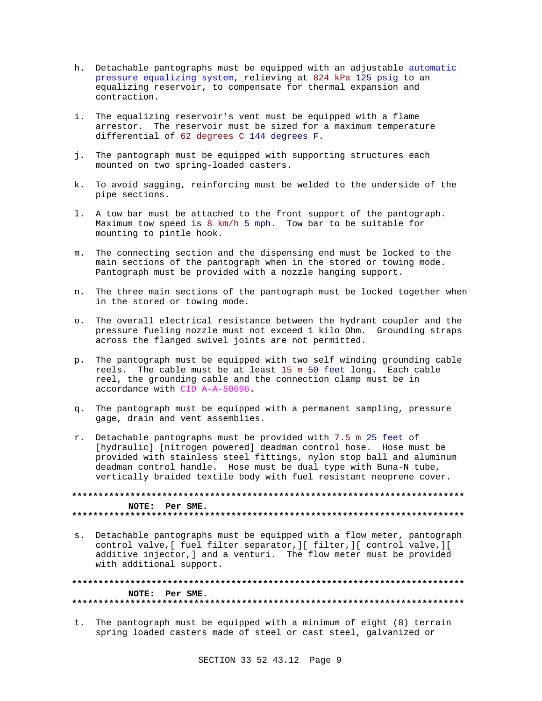- h. Detachable pantographs must be equipped with an adjustable automatic pressure equalizing system, relieving at 824 kPa 125 psig to an equalizing reservoir, to compensate for thermal expansion and contraction.
- i. The equalizing reservoir's vent must be equipped with a flame arrestor. The reservoir must be sized for a maximum temperature differential of 62 degrees C 144 degrees F.
- j. The pantograph must be equipped with supporting structures each mounted on two spring-loaded casters.
- k. To avoid sagging, reinforcing must be welded to the underside of the pipe sections.
- l. A tow bar must be attached to the front support of the pantograph. Maximum tow speed is 8 km/h 5 mph. Tow bar to be suitable for mounting to pintle hook.
- m. The connecting section and the dispensing end must be locked to the main sections of the pantograph when in the stored or towing mode. Pantograph must be provided with a nozzle hanging support.
- n. The three main sections of the pantograph must be locked together when in the stored or towing mode.
- o. The overall electrical resistance between the hydrant coupler and the pressure fueling nozzle must not exceed 1 kilo Ohm. Grounding straps across the flanged swivel joints are not permitted.
- p. The pantograph must be equipped with two self winding grounding cable reels. The cable must be at least 15 m 50 feet long. Each cable reel, the grounding cable and the connection clamp must be in accordance with CID A-A-50696.
- q. The pantograph must be equipped with a permanent sampling, pressure gage, drain and vent assemblies.
- r. Detachable pantographs must be provided with 7.5 m 25 feet of [hydraulic] [nitrogen powered] deadman control hose. Hose must be provided with stainless steel fittings, nylon stop ball and aluminum deadman control handle. Hose must be dual type with Buna-N tube, vertically braided textile body with fuel resistant neoprene cover.

**\*\*\*\*\*\*\*\*\*\*\*\*\*\*\*\*\*\*\*\*\*\*\*\*\*\*\*\*\*\*\*\*\*\*\*\*\*\*\*\*\*\*\*\*\*\*\*\*\*\*\*\*\*\*\*\*\*\*\*\*\*\*\*\*\*\*\*\*\*\*\*\*\*\* NOTE: Per SME. \*\*\*\*\*\*\*\*\*\*\*\*\*\*\*\*\*\*\*\*\*\*\*\*\*\*\*\*\*\*\*\*\*\*\*\*\*\*\*\*\*\*\*\*\*\*\*\*\*\*\*\*\*\*\*\*\*\*\*\*\*\*\*\*\*\*\*\*\*\*\*\*\*\***

s. Detachable pantographs must be equipped with a flow meter, pantograph control valve,[ fuel filter separator,][ filter,][ control valve,][ additive injector,] and a venturi. The flow meter must be provided with additional support.

**\*\*\*\*\*\*\*\*\*\*\*\*\*\*\*\*\*\*\*\*\*\*\*\*\*\*\*\*\*\*\*\*\*\*\*\*\*\*\*\*\*\*\*\*\*\*\*\*\*\*\*\*\*\*\*\*\*\*\*\*\*\*\*\*\*\*\*\*\*\*\*\*\*\* NOTE: Per SME. \*\*\*\*\*\*\*\*\*\*\*\*\*\*\*\*\*\*\*\*\*\*\*\*\*\*\*\*\*\*\*\*\*\*\*\*\*\*\*\*\*\*\*\*\*\*\*\*\*\*\*\*\*\*\*\*\*\*\*\*\*\*\*\*\*\*\*\*\*\*\*\*\*\***

t. The pantograph must be equipped with a minimum of eight (8) terrain spring loaded casters made of steel or cast steel, galvanized or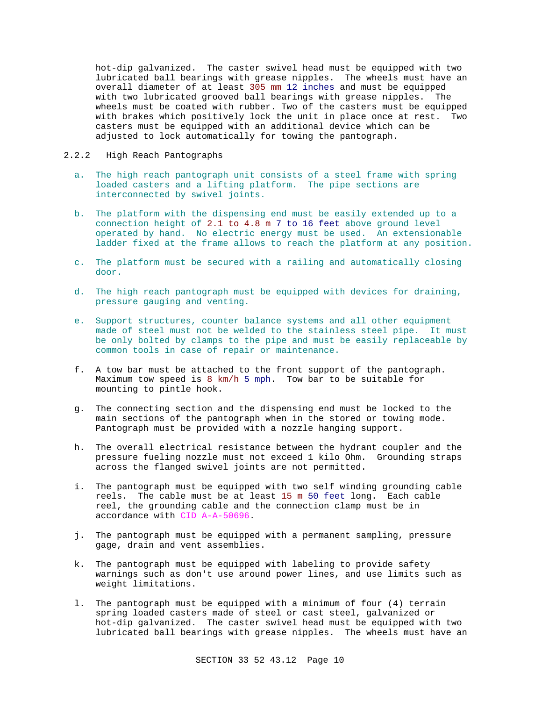hot-dip galvanized. The caster swivel head must be equipped with two lubricated ball bearings with grease nipples. The wheels must have an overall diameter of at least 305 mm 12 inches and must be equipped with two lubricated grooved ball bearings with grease nipples. The wheels must be coated with rubber. Two of the casters must be equipped with brakes which positively lock the unit in place once at rest. Two casters must be equipped with an additional device which can be adjusted to lock automatically for towing the pantograph.

# 2.2.2 High Reach Pantographs

- a. The high reach pantograph unit consists of a steel frame with spring loaded casters and a lifting platform. The pipe sections are interconnected by swivel joints.
- b. The platform with the dispensing end must be easily extended up to a connection height of 2.1 to 4.8 m 7 to 16 feet above ground level operated by hand. No electric energy must be used. An extensionable ladder fixed at the frame allows to reach the platform at any position.
- c. The platform must be secured with a railing and automatically closing door.
- d. The high reach pantograph must be equipped with devices for draining, pressure gauging and venting.
- e. Support structures, counter balance systems and all other equipment made of steel must not be welded to the stainless steel pipe. It must be only bolted by clamps to the pipe and must be easily replaceable by common tools in case of repair or maintenance.
- f. A tow bar must be attached to the front support of the pantograph. Maximum tow speed is 8 km/h 5 mph. Tow bar to be suitable for mounting to pintle hook.
- g. The connecting section and the dispensing end must be locked to the main sections of the pantograph when in the stored or towing mode. Pantograph must be provided with a nozzle hanging support.
- h. The overall electrical resistance between the hydrant coupler and the pressure fueling nozzle must not exceed 1 kilo Ohm. Grounding straps across the flanged swivel joints are not permitted.
- i. The pantograph must be equipped with two self winding grounding cable reels. The cable must be at least 15 m 50 feet long. Each cable reel, the grounding cable and the connection clamp must be in accordance with CID A-A-50696.
- j. The pantograph must be equipped with a permanent sampling, pressure gage, drain and vent assemblies.
- k. The pantograph must be equipped with labeling to provide safety warnings such as don't use around power lines, and use limits such as weight limitations.
- l. The pantograph must be equipped with a minimum of four (4) terrain spring loaded casters made of steel or cast steel, galvanized or hot-dip galvanized. The caster swivel head must be equipped with two lubricated ball bearings with grease nipples. The wheels must have an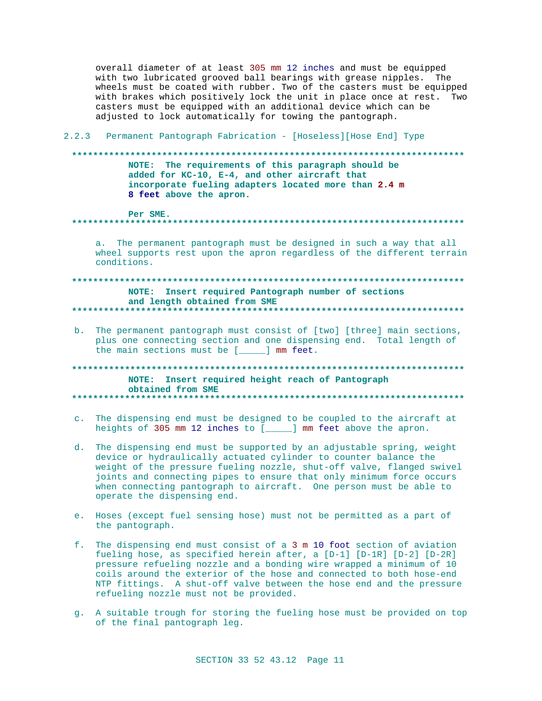overall diameter of at least 305 mm 12 inches and must be equipped with two lubricated grooved ball bearings with grease nipples. The wheels must be coated with rubber. Two of the casters must be equipped with brakes which positively lock the unit in place once at rest. Two casters must be equipped with an additional device which can be adjusted to lock automatically for towing the pantograph.

## 2.2.3 Permanent Pantograph Fabrication - [Hoseless] [Hose End] Type

#### 

NOTE: The requirements of this paragraph should be added for KC-10, E-4, and other aircraft that incorporate fueling adapters located more than 2.4 m 8 feet above the apron.

Per SME.

## 

a. The permanent pantograph must be designed in such a way that all wheel supports rest upon the apron regardless of the different terrain conditions.

# NOTE: Insert required Pantograph number of sections and length obtained from SME

b. The permanent pantograph must consist of [two] [three] main sections, plus one connecting section and one dispensing end. Total length of the main sections must be [\_\_\_\_] mm feet.

#### NOTE: Insert required height reach of Pantograph obtained from SME

- c. The dispensing end must be designed to be coupled to the aircraft at heights of 305 mm 12 inches to [\_\_\_\_\_] mm feet above the apron.
- d. The dispensing end must be supported by an adjustable spring, weight device or hydraulically actuated cylinder to counter balance the weight of the pressure fueling nozzle, shut-off valve, flanged swivel joints and connecting pipes to ensure that only minimum force occurs when connecting pantograph to aircraft. One person must be able to operate the dispensing end.
- e. Hoses (except fuel sensing hose) must not be permitted as a part of the pantograph.
- f. The dispensing end must consist of a 3 m 10 foot section of aviation fueling hose, as specified herein after, a [D-1] [D-1R] [D-2] [D-2R] pressure refueling nozzle and a bonding wire wrapped a minimum of 10 coils around the exterior of the hose and connected to both hose-end NTP fittings. A shut-off valve between the hose end and the pressure refueling nozzle must not be provided.
- g. A suitable trough for storing the fueling hose must be provided on top of the final pantograph leg.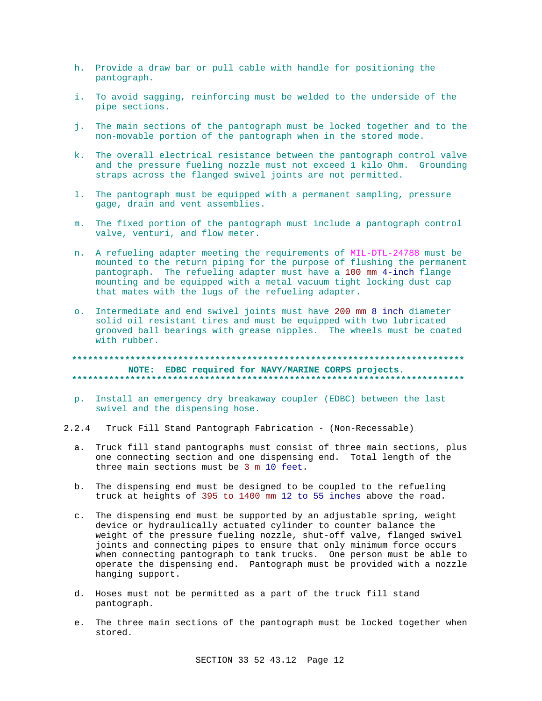- h. Provide a draw bar or pull cable with handle for positioning the pantograph.
- i. To avoid sagging, reinforcing must be welded to the underside of the pipe sections.
- j. The main sections of the pantograph must be locked together and to the non-movable portion of the pantograph when in the stored mode.
- k. The overall electrical resistance between the pantograph control valve and the pressure fueling nozzle must not exceed 1 kilo Ohm. Grounding straps across the flanged swivel joints are not permitted.
- 1. The pantograph must be equipped with a permanent sampling, pressure gage, drain and vent assemblies.
- m. The fixed portion of the pantograph must include a pantograph control valve, venturi, and flow meter.
- n. A refueling adapter meeting the requirements of MIL-DTL-24788 must be mounted to the return piping for the purpose of flushing the permanent pantograph. The refueling adapter must have a 100 mm 4-inch flange mounting and be equipped with a metal vacuum tight locking dust cap that mates with the lugs of the refueling adapter.
- o. Intermediate and end swivel joints must have 200 mm 8 inch diameter solid oil resistant tires and must be equipped with two lubricated grooved ball bearings with grease nipples. The wheels must be coated with rubber.

NOTE: EDBC required for NAVY/MARINE CORPS projects. 

- p. Install an emergency dry breakaway coupler (EDBC) between the last swivel and the dispensing hose.
- $2.2.4$ Truck Fill Stand Pantograph Fabrication - (Non-Recessable)
	- a. Truck fill stand pantographs must consist of three main sections, plus one connecting section and one dispensing end. Total length of the three main sections must be 3 m 10 feet.
	- b. The dispensing end must be designed to be coupled to the refueling truck at heights of 395 to 1400 mm 12 to 55 inches above the road.
	- The dispensing end must be supported by an adjustable spring, weight  $\mathsf{C}$ . device or hydraulically actuated cylinder to counter balance the weight of the pressure fueling nozzle, shut-off valve, flanged swivel joints and connecting pipes to ensure that only minimum force occurs when connecting pantograph to tank trucks. One person must be able to operate the dispensing end. Pantograph must be provided with a nozzle hanging support.
	- d. Hoses must not be permitted as a part of the truck fill stand pantograph.
	- e. The three main sections of the pantograph must be locked together when stored.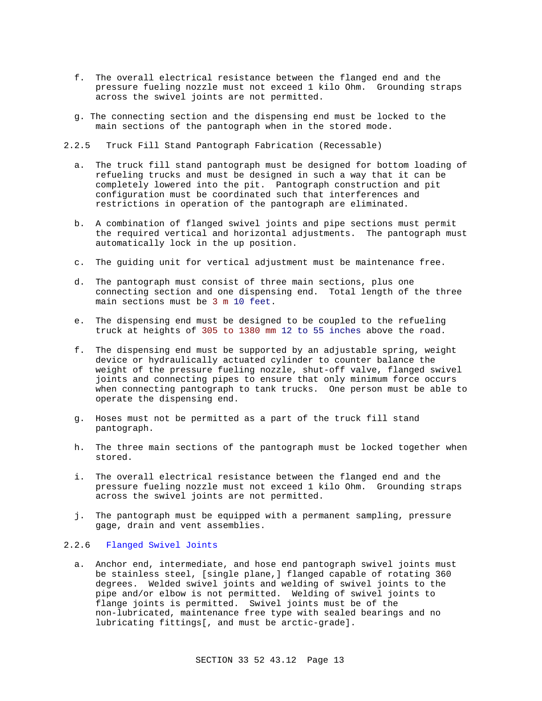- f. The overall electrical resistance between the flanged end and the pressure fueling nozzle must not exceed 1 kilo Ohm. Grounding straps across the swivel joints are not permitted.
- g. The connecting section and the dispensing end must be locked to the main sections of the pantograph when in the stored mode.
- 2.2.5 Truck Fill Stand Pantograph Fabrication (Recessable)
	- a. The truck fill stand pantograph must be designed for bottom loading of refueling trucks and must be designed in such a way that it can be completely lowered into the pit. Pantograph construction and pit configuration must be coordinated such that interferences and restrictions in operation of the pantograph are eliminated.
	- b. A combination of flanged swivel joints and pipe sections must permit the required vertical and horizontal adjustments. The pantograph must automatically lock in the up position.
	- c. The guiding unit for vertical adjustment must be maintenance free.
	- d. The pantograph must consist of three main sections, plus one connecting section and one dispensing end. Total length of the three main sections must be 3 m 10 feet.
	- e. The dispensing end must be designed to be coupled to the refueling truck at heights of 305 to 1380 mm 12 to 55 inches above the road.
	- f. The dispensing end must be supported by an adjustable spring, weight device or hydraulically actuated cylinder to counter balance the weight of the pressure fueling nozzle, shut-off valve, flanged swivel joints and connecting pipes to ensure that only minimum force occurs when connecting pantograph to tank trucks. One person must be able to operate the dispensing end.
	- g. Hoses must not be permitted as a part of the truck fill stand pantograph.
	- h. The three main sections of the pantograph must be locked together when stored.
	- i. The overall electrical resistance between the flanged end and the pressure fueling nozzle must not exceed 1 kilo Ohm. Grounding straps across the swivel joints are not permitted.
	- j. The pantograph must be equipped with a permanent sampling, pressure gage, drain and vent assemblies.

## 2.2.6 Flanged Swivel Joints

a. Anchor end, intermediate, and hose end pantograph swivel joints must be stainless steel, [single plane,] flanged capable of rotating 360 degrees. Welded swivel joints and welding of swivel joints to the pipe and/or elbow is not permitted. Welding of swivel joints to flange joints is permitted. Swivel joints must be of the non-lubricated, maintenance free type with sealed bearings and no lubricating fittings[, and must be arctic-grade].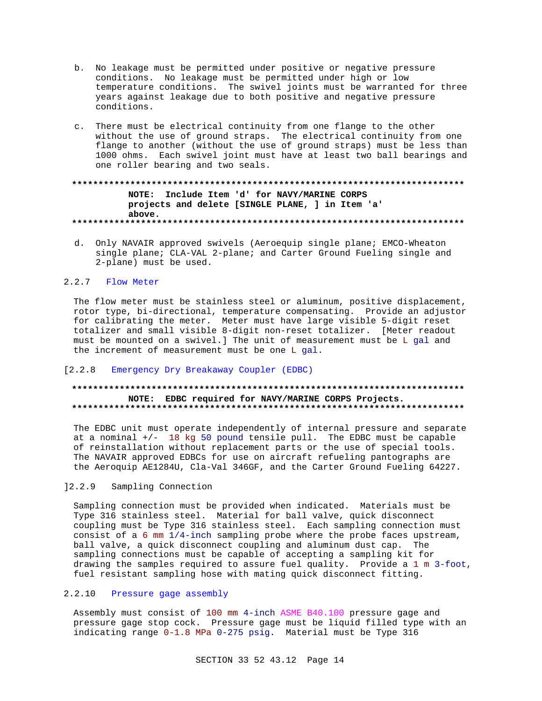- b. No leakage must be permitted under positive or negative pressure conditions. No leakage must be permitted under high or low temperature conditions. The swivel joints must be warranted for three years against leakage due to both positive and negative pressure conditions.
- c. There must be electrical continuity from one flange to the other without the use of ground straps. The electrical continuity from one flange to another (without the use of ground straps) must be less than 1000 ohms. Each swivel joint must have at least two ball bearings and one roller bearing and two seals.

# NOTE: Include Item 'd' for NAVY/MARINE CORPS projects and delete [SINGLE PLANE, ] in Item 'a' above.

d. Only NAVAIR approved swivels (Aeroequip single plane; EMCO-Wheaton single plane; CLA-VAL 2-plane; and Carter Ground Fueling single and 2-plane) must be used.

## 2.2.7 Flow Meter

The flow meter must be stainless steel or aluminum, positive displacement, rotor type, bi-directional, temperature compensating. Provide an adjustor for calibrating the meter. Meter must have large visible 5-digit reset totalizer and small visible 8-digit non-reset totalizer. [Meter readout must be mounted on a swivel.] The unit of measurement must be L gal and the increment of measurement must be one L gal.

### [2.2.8 Emergency Dry Breakaway Coupler (EDBC)

# NOTE: EDBC required for NAVY/MARINE CORPS Projects.

The EDBC unit must operate independently of internal pressure and separate at a nominal  $+/-$  18 kg 50 pound tensile pull. The EDBC must be capable of reinstallation without replacement parts or the use of special tools. The NAVAIR approved EDBCs for use on aircraft refueling pantographs are the Aeroquip AE1284U, Cla-Val 346GF, and the Carter Ground Fueling 64227.

#### $12.2.9$ Sampling Connection

Sampling connection must be provided when indicated. Materials must be Type 316 stainless steel. Material for ball valve, quick disconnect coupling must be Type 316 stainless steel. Each sampling connection must consist of a 6 mm  $1/4$ -inch sampling probe where the probe faces upstream, ball valve, a quick disconnect coupling and aluminum dust cap. The sampling connections must be capable of accepting a sampling kit for drawing the samples required to assure fuel quality. Provide a 1 m 3-foot, fuel resistant sampling hose with mating quick disconnect fitting.

# 2.2.10 Pressure gage assembly

Assembly must consist of 100 mm 4-inch ASME B40.100 pressure gage and pressure gage stop cock. Pressure gage must be liquid filled type with an indicating range 0-1.8 MPa 0-275 psig. Material must be Type 316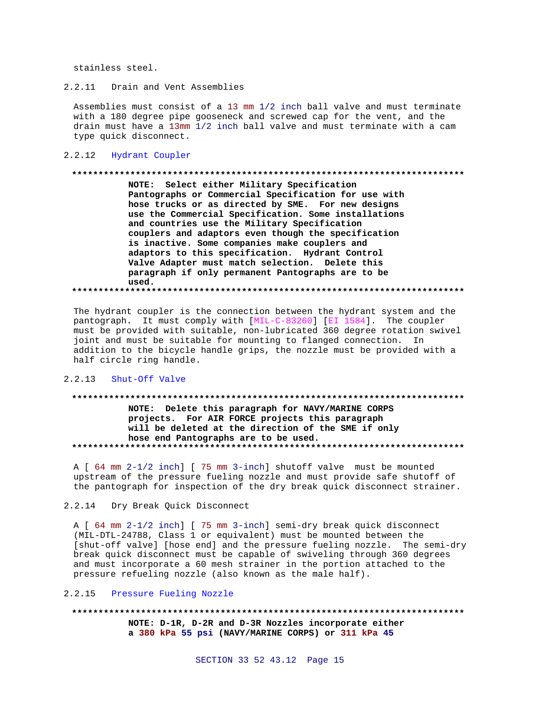stainless steel.

2.2.11 Drain and Vent Assemblies

Assemblies must consist of a 13 mm 1/2 inch ball valve and must terminate with a 180 degree pipe gooseneck and screwed cap for the vent, and the drain must have a 13mm 1/2 inch ball valve and must terminate with a cam type quick disconnect.

#### 2.2.12 Hydrant Coupler

#### 

NOTE: Select either Military Specification Pantographs or Commercial Specification for use with hose trucks or as directed by SME. For new designs use the Commercial Specification. Some installations and countries use the Military Specification couplers and adaptors even though the specification is inactive. Some companies make couplers and adaptors to this specification. Hydrant Control Valve Adapter must match selection. Delete this paragraph if only permanent Pantographs are to be used. 

The hydrant coupler is the connection between the hydrant system and the pantograph. It must comply with [MIL-C-83260] [EI 1584]. The coupler

must be provided with suitable, non-lubricated 360 degree rotation swivel joint and must be suitable for mounting to flanged connection. In addition to the bicycle handle grips, the nozzle must be provided with a half circle ring handle.

# 2.2.13 Shut-Off Valve

# NOTE: Delete this paragraph for NAVY/MARINE CORPS projects. For AIR FORCE projects this paragraph will be deleted at the direction of the SME if only hose end Pantographs are to be used.

A [ 64 mm 2-1/2 inch] [ 75 mm 3-inch] shutoff valve must be mounted upstream of the pressure fueling nozzle and must provide safe shutoff of the pantograph for inspection of the dry break quick disconnect strainer.

#### $2.2.14$ Dry Break Quick Disconnect

A [ 64 mm 2-1/2 inch] [ 75 mm 3-inch] semi-dry break quick disconnect (MIL-DTL-24788, Class 1 or equivalent) must be mounted between the [shut-off valve] [hose end] and the pressure fueling nozzle. The semi-dry break quick disconnect must be capable of swiveling through 360 degrees and must incorporate a 60 mesh strainer in the portion attached to the pressure refueling nozzle (also known as the male half).

## 2.2.15 Pressure Fueling Nozzle

NOTE: D-1R, D-2R and D-3R Nozzles incorporate either a 380 kPa 55 psi (NAVY/MARINE CORPS) or 311 kPa 45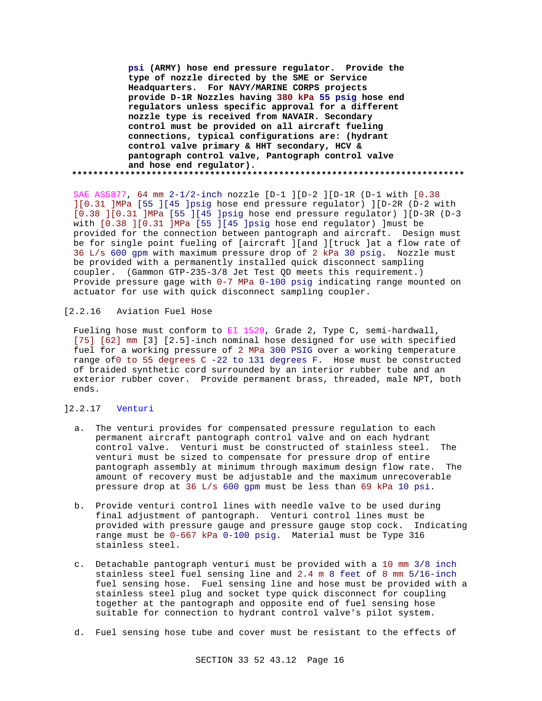**psi (ARMY) hose end pressure regulator. Provide the type of nozzle directed by the SME or Service Headquarters. For NAVY/MARINE CORPS projects provide D-1R Nozzles having 380 kPa 55 psig hose end regulators unless specific approval for a different nozzle type is received from NAVAIR. Secondary control must be provided on all aircraft fueling connections, typical configurations are: (hydrant control valve primary & HHT secondary, HCV & pantograph control valve, Pantograph control valve and hose end regulator). \*\*\*\*\*\*\*\*\*\*\*\*\*\*\*\*\*\*\*\*\*\*\*\*\*\*\*\*\*\*\*\*\*\*\*\*\*\*\*\*\*\*\*\*\*\*\*\*\*\*\*\*\*\*\*\*\*\*\*\*\*\*\*\*\*\*\*\*\*\*\*\*\*\***

SAE AS5877, 64 mm 2-1/2-inch nozzle [D-1 ][D-2 ][D-1R (D-1 with [0.38 ][0.31 ]MPa [55 ][45 ]psig hose end pressure regulator) ][D-2R (D-2 with [0.38 ][0.31 ]MPa [55 ][45 ]psig hose end pressure regulator) ][D-3R (D-3 with [0.38 ][0.31 ]MPa [55 ][45 ]psig hose end regulator) ]must be provided for the connection between pantograph and aircraft. Design must be for single point fueling of [aircraft ][and ][truck ]at a flow rate of 36 L/s 600 gpm with maximum pressure drop of 2 kPa 30 psig. Nozzle must be provided with a permanently installed quick disconnect sampling coupler. (Gammon GTP-235-3/8 Jet Test QD meets this requirement.) Provide pressure gage with 0-7 MPa 0-100 psig indicating range mounted on actuator for use with quick disconnect sampling coupler.

# [2.2.16 Aviation Fuel Hose

Fueling hose must conform to EI 1529, Grade 2, Type C, semi-hardwall, [75] [62] mm [3] [2.5]-inch nominal hose designed for use with specified fuel for a working pressure of 2 MPa 300 PSIG over a working temperature range of0 to 55 degrees C -22 to 131 degrees F. Hose must be constructed of braided synthetic cord surrounded by an interior rubber tube and an exterior rubber cover. Provide permanent brass, threaded, male NPT, both ends.

# ]2.2.17 Venturi

- a. The venturi provides for compensated pressure regulation to each permanent aircraft pantograph control valve and on each hydrant control valve. Venturi must be constructed of stainless steel. The venturi must be sized to compensate for pressure drop of entire pantograph assembly at minimum through maximum design flow rate. The amount of recovery must be adjustable and the maximum unrecoverable pressure drop at 36 L/s 600 gpm must be less than 69 kPa 10 psi.
- b. Provide venturi control lines with needle valve to be used during final adjustment of pantograph. Venturi control lines must be provided with pressure gauge and pressure gauge stop cock. Indicating range must be 0-667 kPa 0-100 psig. Material must be Type 316 stainless steel.
- c. Detachable pantograph venturi must be provided with a 10 mm 3/8 inch stainless steel fuel sensing line and 2.4 m 8 feet of 8 mm 5/16-inch fuel sensing hose. Fuel sensing line and hose must be provided with a stainless steel plug and socket type quick disconnect for coupling together at the pantograph and opposite end of fuel sensing hose suitable for connection to hydrant control valve's pilot system.
- d. Fuel sensing hose tube and cover must be resistant to the effects of